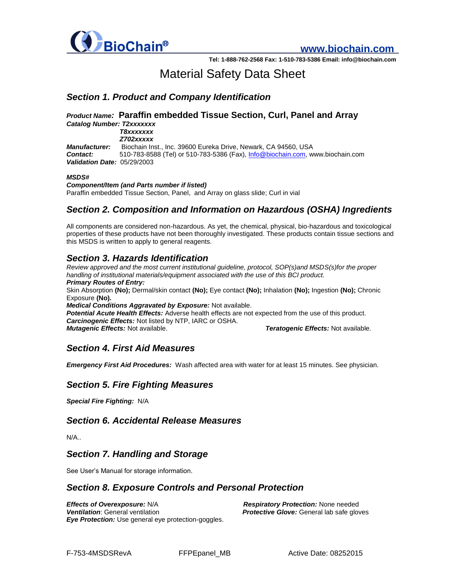

**www.biochain.com**

**Tel: 1-888-762-2568 Fax: 1-510-783-5386 Email: info@biochain.com**

# Material Safety Data Sheet

# *Section 1. Product and Company Identification*

#### *Product Name:* **Paraffin embedded Tissue Section, Curl, Panel and Array**  *Catalog Number: T2xxxxxxx T8xxxxxxx*

*Z702xxxxx*

*Manufacturer:* Biochain Inst., Inc. 39600 Eureka Drive, Newark, CA 94560, USA *Contact:* 510-783-8588 (Tel) or 510-783-5386 (Fax)[, Info@biochain.com,](mailto:Info@biochain.com) www.biochain.com *Validation Date:* 05/29/2003

#### *MSDS#*

*Component/Item (and Parts number if listed)*  Paraffin embedded Tissue Section, Panel, and Array on glass slide; Curl in vial

# *Section 2. Composition and Information on Hazardous (OSHA) Ingredients*

All components are considered non-hazardous. As yet, the chemical, physical, bio-hazardous and toxicological properties of these products have not been thoroughly investigated. These products contain tissue sections and this MSDS is written to apply to general reagents.

# *Section 3. Hazards Identification*

*Review approved and the most current institutional guideline, protocol, SOP(s)and MSDS(s)for the proper handling of institutional materials/equipment associated with the use of this BCI product. Primary Routes of Entry:*  Skin Absorption **(No);** Dermal/skin contact **(No);** Eye contact **(No);** Inhalation **(No);** Ingestion **(No);** Chronic Exposure **(No).** 

*Medical Conditions Aggravated by Exposure:* Not available.

*Potential Acute Health Effects:* Adverse health effects are not expected from the use of this product. *Carcinogenic Effects:* Not listed by NTP, IARC or OSHA. *Mutagenic Effects:* Not available. *Teratogenic Effects:* Not available.

# *Section 4. First Aid Measures*

*Emergency First Aid Procedures:* Wash affected area with water for at least 15 minutes. See physician.

# *Section 5. Fire Fighting Measures*

*Special Fire Fighting:* N/A

#### *Section 6. Accidental Release Measures*

N/A..

#### *Section 7. Handling and Storage*

See User's Manual for storage information.

#### *Section 8. Exposure Controls and Personal Protection*

*Effects of Overexposure:* N/A *Respiratory Protection:* None needed *Ventilation*: General ventilation *Protective Glove:* General lab safe gloves *Eye Protection:* Use general eye protection-goggles.